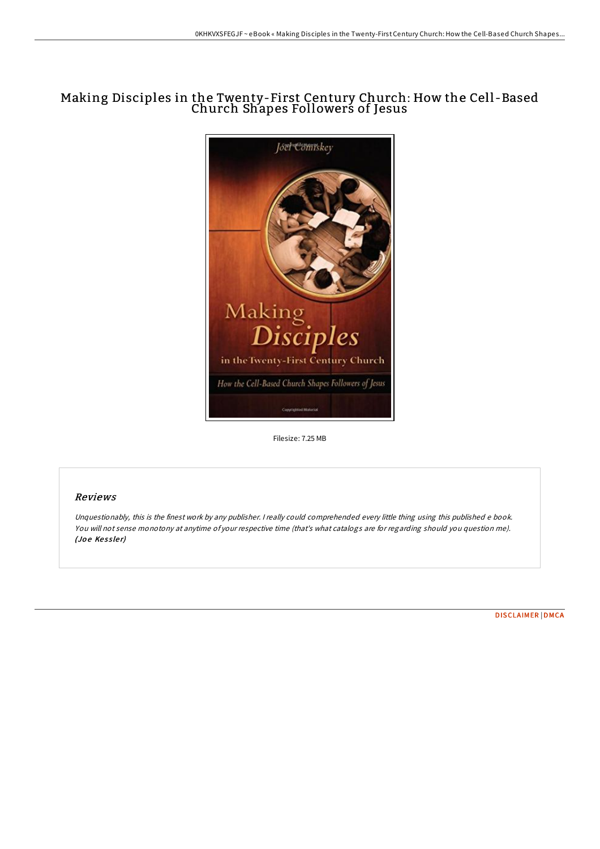# Making Disciples in the Twenty-First Century Church: How the Cell -Based Church Shapes Followers of Jesus



Filesize: 7.25 MB

## Reviews

Unquestionably, this is the finest work by any publisher. <sup>I</sup> really could comprehended every little thing using this published <sup>e</sup> book. You will not sense monotony at anytime of your respective time (that's what catalogs are for regarding should you question me). (Joe Kessler)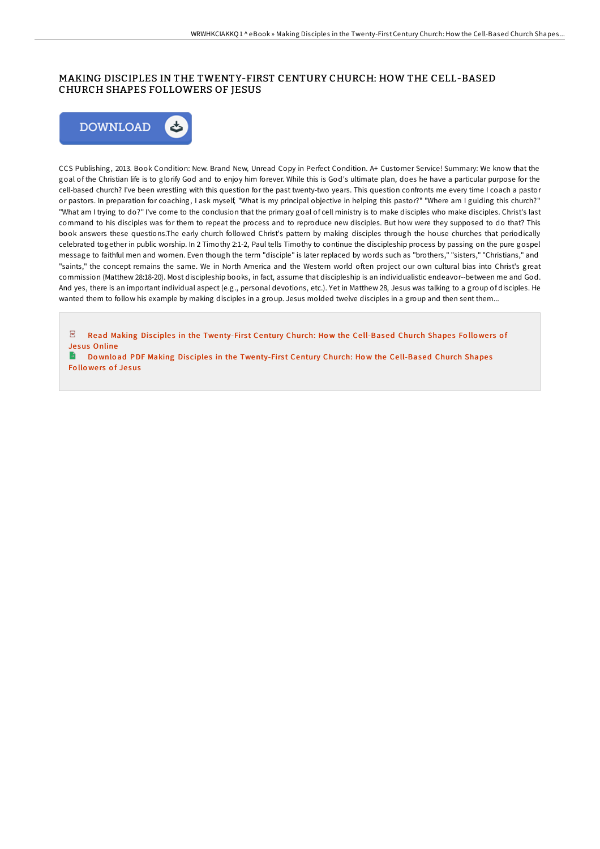## MAKING DISCIPLES IN THE TWENTY-FIRST CENTURY CHURCH: HOW THE CELL-BASED CHURCH SHAPES FOLLOWERS OF JESUS



CCS Publishing, 2013. Book Condition: New. Brand New, Unread Copy in Perfect Condition. A+ Customer Service! Summary: We know that the goal of the Christian life is to glorify God and to enjoy him forever. While this is God's ultimate plan, does he have a particular purpose for the cell-based church? I've been wrestling with this question for the past twenty-two years. This question confronts me every time I coach a pastor or pastors. In preparation for coaching, I ask myself, "What is my principal objective in helping this pastor?" "Where am I guiding this church?" "What am I trying to do?" I've come to the conclusion that the primary goal of cell ministry is to make disciples who make disciples. Christ's last command to his disciples was for them to repeat the process and to reproduce new disciples. But how were they supposed to do that? This book answers these questions.The early church followed Christ's pattern by making disciples through the house churches that periodically celebrated together in public worship. In 2 Timothy 2:1-2, Paul tells Timothy to continue the discipleship process by passing on the pure gospel message to faithful men and women. Even though the term "disciple" is later replaced by words such as "brothers," "sisters," "Christians," and "saints," the concept remains the same. We in North America and the Western world often project our own cultural bias into Christ's great commission (Matthew 28:18-20). Most discipleship books, in fact, assume that discipleship is an individualistic endeavor--between me and God. And yes, there is an important individual aspect (e.g., personal devotions, etc.). Yet in Matthew 28, Jesus was talking to a group of disciples. He wanted them to follow his example by making disciples in a group. Jesus molded twelve disciples in a group and then sent them...

 $\sqrt{p_{\rm DF}}$ Read Making Disciples in the [Twenty-Firs](http://almighty24.tech/making-disciples-in-the-twenty-first-century-chu.html)t Century Church: How the Cell-Based Church Shapes Followers of Je sus Online

B Download PDF Making Disciples in the [Twenty-Firs](http://almighty24.tech/making-disciples-in-the-twenty-first-century-chu.html)t Century Church: How the Cell-Based Church Shapes Followers of Jesus